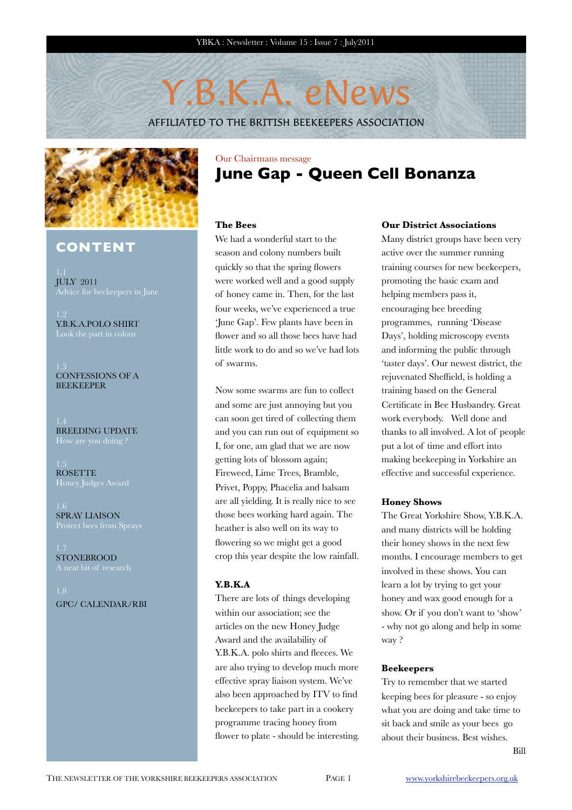# Y.B.K.A. eNews

AFFILIATED TO THE BRITISH BEEKEEPERS ASSOCIATION



## **CONTENT**

JULY 2011 Advice for beekeepers in June

Y.B.K.A.POLO SHIRT

CONFESSIONS OF A **BEEKEEPER** 

BREEDING UPDATE

ROSETTE

SPRAY LIAISON

**STONEBROOD** 

GPC/ CALENDAR/RBI

## Our Chairmans message **June Gap - Queen Cell Bonanza**

## **The Bees**

We had a wonderful start to the season and colony numbers built quickly so that the spring flowers were worked well and a good supply of honey came in. Then, for the last four weeks, we've experienced a true 'June Gap'. Few plants have been in flower and so all those bees have had little work to do and so we've had lots of swarms.

Now some swarms are fun to collect and some are just annoying but you can soon get tired of collecting them and you can run out of equipment so I, for one, am glad that we are now getting lots of blossom again; Fireweed, Lime Trees, Bramble, Privet, Poppy, Phacelia and balsam are all yielding. It is really nice to see those bees working hard again. The heather is also well on its way to flowering so we might get a good crop this year despite the low rainfall.

### **Y.B.K.A**

There are lots of things developing within our association; see the articles on the new Honey Judge Award and the availability of Y.B.K.A. polo shirts and fleeces. We are also trying to develop much more effective spray liaison system. We've also been approached by ITV to find beekeepers to take part in a cookery programme tracing honey from flower to plate - should be interesting.

### **Our District Associations**

Many district groups have been very active over the summer running training courses for new beekeepers, promoting the basic exam and helping members pass it, encouraging bee breeding programmes, running 'Disease Days', holding microscopy events and informing the public through 'taster days'. Our newest district, the rejuvenated Sheffield, is holding a training based on the General Certificate in Bee Husbandry. Great work everybody. Well done and thanks to all involved. A lot of people put a lot of time and effort into making beekeeping in Yorkshire an effective and successful experience.

### **Honey Shows**

The Great Yorkshire Show, Y.B.K.A. and many districts will be holding their honey shows in the next few months. I encourage members to get involved in these shows. You can learn a lot by trying to get your honey and wax good enough for a show. Or if you don't want to 'show' - why not go along and help in some way ?

### **Beekeepers**

Try to remember that we started keeping bees for pleasure - so enjoy what you are doing and take time to sit back and smile as your bees go about their business. Best wishes.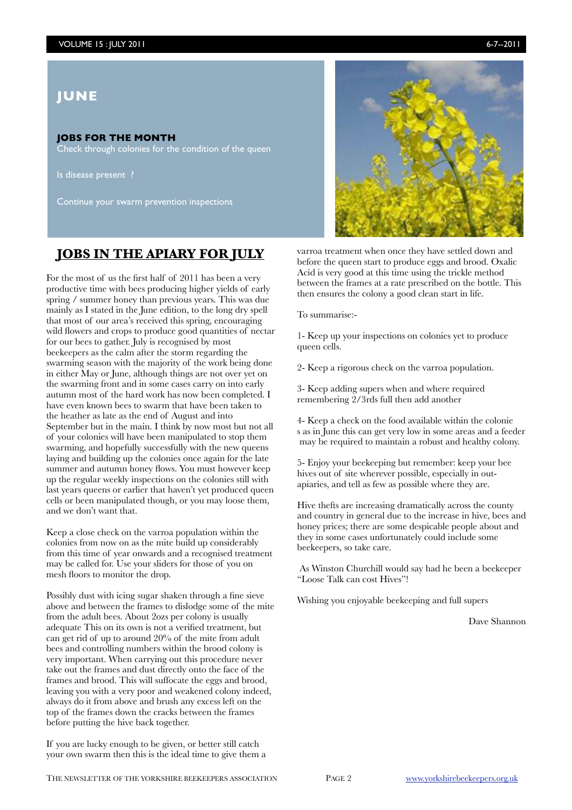## **JUNE**

## **JOBS FOR THE MONTH**

Check through colonies for the condition of the queen

Is disease present ?

Continue your swarm prevention inspections

## **JOBS IN THE APIARY FOR JULY**

For the most of us the first half of 2011 has been a very productive time with bees producing higher yields of early spring / summer honey than previous years. This was due mainly as I stated in the June edition, to the long dry spell that most of our area's received this spring, encouraging wild flowers and crops to produce good quantities of nectar for our bees to gather. July is recognised by most beekeepers as the calm after the storm regarding the swarming season with the majority of the work being done in either May or June, although things are not over yet on the swarming front and in some cases carry on into early autumn most of the hard work has now been completed. I have even known bees to swarm that have been taken to the heather as late as the end of August and into September but in the main. I think by now most but not all of your colonies will have been manipulated to stop them swarming, and hopefully successfully with the new queens laying and building up the colonies once again for the late summer and autumn honey flows. You must however keep up the regular weekly inspections on the colonies still with last years queens or earlier that haven't yet produced queen cells or been manipulated though, or you may loose them, and we don't want that.

Keep a close check on the varroa population within the colonies from now on as the mite build up considerably from this time of year onwards and a recognised treatment may be called for. Use your sliders for those of you on mesh floors to monitor the drop.

Possibly dust with icing sugar shaken through a fine sieve above and between the frames to dislodge some of the mite from the adult bees. About 2ozs per colony is usually adequate This on its own is not a verified treatment, but can get rid of up to around 20% of the mite from adult bees and controlling numbers within the brood colony is very important. When carrying out this procedure never take out the frames and dust directly onto the face of the frames and brood. This will suffocate the eggs and brood, leaving you with a very poor and weakened colony indeed, always do it from above and brush any excess left on the top of the frames down the cracks between the frames before putting the hive back together.

If you are lucky enough to be given, or better still catch your own swarm then this is the ideal time to give them a



varroa treatment when once they have settled down and before the queen start to produce eggs and brood. Oxalic Acid is very good at this time using the trickle method between the frames at a rate prescribed on the bottle. This then ensures the colony a good clean start in life.

To summarise:-

1- Keep up your inspections on colonies yet to produce queen cells.

2- Keep a rigorous check on the varroa population.

3- Keep adding supers when and where required remembering 2/3rds full then add another

4- Keep a check on the food available within the colonie s as in June this can get very low in some areas and a feeder may be required to maintain a robust and healthy colony.

5- Enjoy your beekeeping but remember: keep your bee hives out of site wherever possible, especially in outapiaries, and tell as few as possible where they are.

Hive thefts are increasing dramatically across the county and country in general due to the increase in hive, bees and honey prices; there are some despicable people about and they in some cases unfortunately could include some beekeepers, so take care.

 As Winston Churchill would say had he been a beekeeper "Loose Talk can cost Hives"!

Wishing you enjoyable beekeeping and full supers

Dave Shannon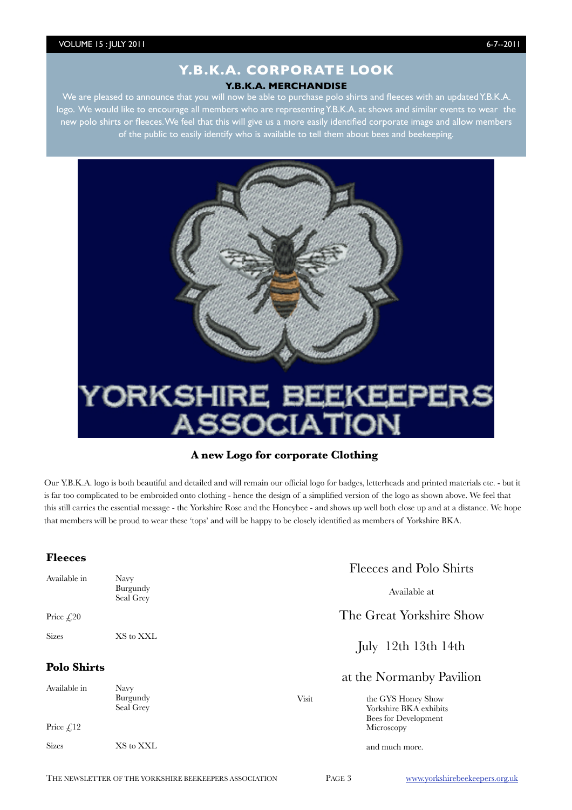## **Y.B.K.A. CORPORATE LOOK Y.B.K.A. MERCHANDISE**

We are pleased to announce that you will now be able to purchase polo shirts and fleeces with an updated Y.B.K.A. logo. We would like to encourage all members who are representing Y.B.K.A. at shows and similar events to wear the new polo shirts or fleeces. We feel that this will give us a more easily identified corporate image and allow members of the public to easily identify who is available to tell them about bees and beekeeping.



## **A new Logo for corporate Clothing**

Our Y.B.K.A. logo is both beautiful and detailed and will remain our official logo for badges, letterheads and printed materials etc. - but it is far too complicated to be embroided onto clothing - hence the design of a simplified version of the logo as shown above. We feel that this still carries the essential message - the Yorkshire Rose and the Honeybee - and shows up well both close up and at a distance. We hope that members will be proud to wear these 'tops' and will be happy to be closely identified as members of Yorkshire BKA.

## **Fleeces**

| ------                             |                               | Fleeces and Polo Shirts |                                                                      |  |
|------------------------------------|-------------------------------|-------------------------|----------------------------------------------------------------------|--|
| Available in                       | Navy<br>Burgundy<br>Seal Grey |                         | Available at                                                         |  |
| Price $\mathcal{L}20$              |                               |                         | The Great Yorkshire Show                                             |  |
| <b>Sizes</b>                       | XS to XXL                     |                         | July 12th 13th 14th                                                  |  |
| <b>Polo Shirts</b><br>Available in | Navy                          |                         | at the Normanby Pavilion                                             |  |
|                                    | Burgundy<br>Seal Grey         | Visit                   | the GYS Honey Show<br>Yorkshire BKA exhibits<br>Bees for Development |  |
| Price $\mathcal{L}$ 12             |                               |                         | Microscopy                                                           |  |
| <b>Sizes</b>                       | XS to XXL                     |                         | and much more.                                                       |  |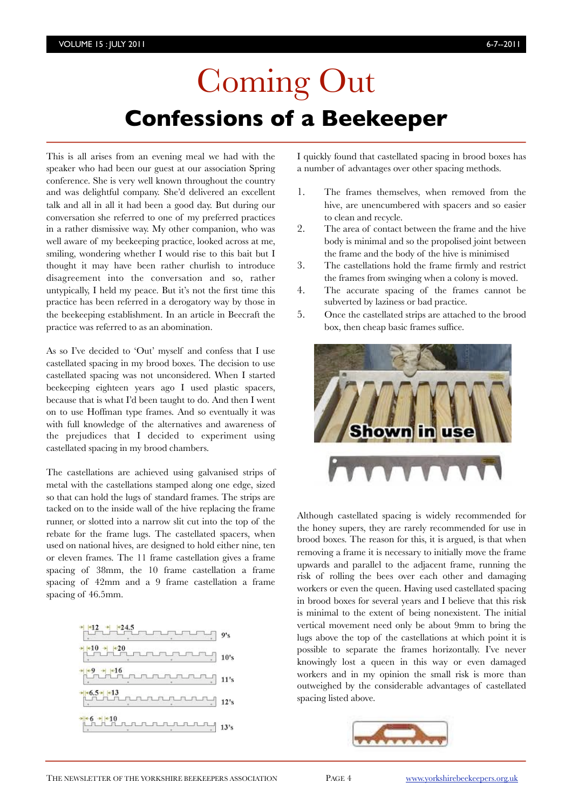# Coming Out **Confessions of a Beekeeper**

This is all arises from an evening meal we had with the speaker who had been our guest at our association Spring conference. She is very well known throughout the country and was delightful company. She'd delivered an excellent talk and all in all it had been a good day. But during our conversation she referred to one of my preferred practices in a rather dismissive way. My other companion, who was well aware of my beekeeping practice, looked across at me, smiling, wondering whether I would rise to this bait but I thought it may have been rather churlish to introduce disagreement into the conversation and so, rather untypically, I held my peace. But it's not the first time this practice has been referred in a derogatory way by those in the beekeeping establishment. In an article in Beecraft the practice was referred to as an abomination.

As so I've decided to 'Out' myself and confess that I use castellated spacing in my brood boxes. The decision to use castellated spacing was not unconsidered. When I started beekeeping eighteen years ago I used plastic spacers, because that is what I'd been taught to do. And then I went on to use Hoffman type frames. And so eventually it was with full knowledge of the alternatives and awareness of the prejudices that I decided to experiment using castellated spacing in my brood chambers.

The castellations are achieved using galvanised strips of metal with the castellations stamped along one edge, sized so that can hold the lugs of standard frames. The strips are tacked on to the inside wall of the hive replacing the frame runner, or slotted into a narrow slit cut into the top of the rebate for the frame lugs. The castellated spacers, when used on national hives, are designed to hold either nine, ten or eleven frames. The 11 frame castellation gives a frame spacing of 38mm, the 10 frame castellation a frame spacing of 42mm and a 9 frame castellation a frame spacing of 46.5mm.



I quickly found that castellated spacing in brood boxes has a number of advantages over other spacing methods.

- 1. The frames themselves, when removed from the hive, are unencumbered with spacers and so easier to clean and recycle.
- 2. The area of contact between the frame and the hive body is minimal and so the propolised joint between the frame and the body of the hive is minimised
- 3. The castellations hold the frame firmly and restrict the frames from swinging when a colony is moved.
- 4. The accurate spacing of the frames cannot be subverted by laziness or bad practice.
- 5. Once the castellated strips are attached to the brood box, then cheap basic frames suffice.



Although castellated spacing is widely recommended for the honey supers, they are rarely recommended for use in brood boxes. The reason for this, it is argued, is that when removing a frame it is necessary to initially move the frame upwards and parallel to the adjacent frame, running the risk of rolling the bees over each other and damaging workers or even the queen. Having used castellated spacing in brood boxes for several years and I believe that this risk is minimal to the extent of being nonexistent. The initial vertical movement need only be about 9mm to bring the lugs above the top of the castellations at which point it is possible to separate the frames horizontally. I've never knowingly lost a queen in this way or even damaged workers and in my opinion the small risk is more than outweighed by the considerable advantages of castellated spacing listed above.

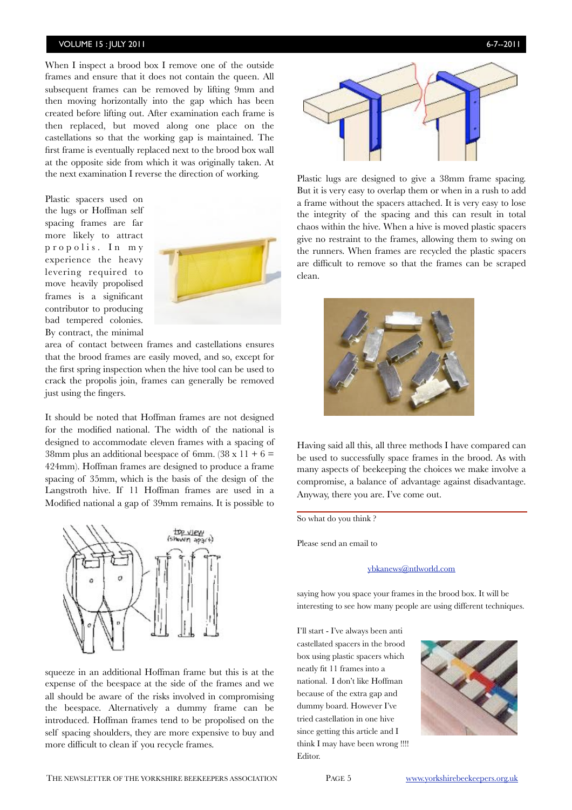## VOLUME 15 : JULY 2011 6-7--2011

When I inspect a brood box I remove one of the outside frames and ensure that it does not contain the queen. All subsequent frames can be removed by lifting 9mm and then moving horizontally into the gap which has been created before lifting out. After examination each frame is then replaced, but moved along one place on the castellations so that the working gap is maintained. The first frame is eventually replaced next to the brood box wall at the opposite side from which it was originally taken. At the next examination I reverse the direction of working.

Plastic spacers used on the lugs or Hoffman self spacing frames are far more likely to attract propolis. In my experience the heavy levering required to move heavily propolised frames is a significant contributor to producing bad tempered colonies. By contract, the minimal



area of contact between frames and castellations ensures that the brood frames are easily moved, and so, except for the first spring inspection when the hive tool can be used to crack the propolis join, frames can generally be removed just using the fingers.

It should be noted that Hoffman frames are not designed for the modified national. The width of the national is designed to accommodate eleven frames with a spacing of 38mm plus an additional beespace of 6mm. (38 x 11 + 6 = 424mm). Hoffman frames are designed to produce a frame spacing of 35mm, which is the basis of the design of the Langstroth hive. If 11 Hoffman frames are used in a Modified national a gap of 39mm remains. It is possible to



squeeze in an additional Hoffman frame but this is at the expense of the beespace at the side of the frames and we all should be aware of the risks involved in compromising the beespace. Alternatively a dummy frame can be introduced. Hoffman frames tend to be propolised on the self spacing shoulders, they are more expensive to buy and more difficult to clean if you recycle frames.



Plastic lugs are designed to give a 38mm frame spacing. But it is very easy to overlap them or when in a rush to add a frame without the spacers attached. It is very easy to lose the integrity of the spacing and this can result in total chaos within the hive. When a hive is moved plastic spacers give no restraint to the frames, allowing them to swing on the runners. When frames are recycled the plastic spacers are difficult to remove so that the frames can be scraped clean.



Having said all this, all three methods I have compared can be used to successfully space frames in the brood. As with many aspects of beekeeping the choices we make involve a compromise, a balance of advantage against disadvantage. Anyway, there you are. I've come out.

So what do you think ?

Please send an email to

### [ybkanews@ntlworld.com](mailto:ybkanews@ntlworld.com)

saying how you space your frames in the brood box. It will be interesting to see how many people are using different techniques.

I'll start - I've always been anti castellated spacers in the brood box using plastic spacers which neatly fit 11 frames into a national. I don't like Hoffman because of the extra gap and dummy board. However I've tried castellation in one hive since getting this article and I think I may have been wrong !!!! Editor.

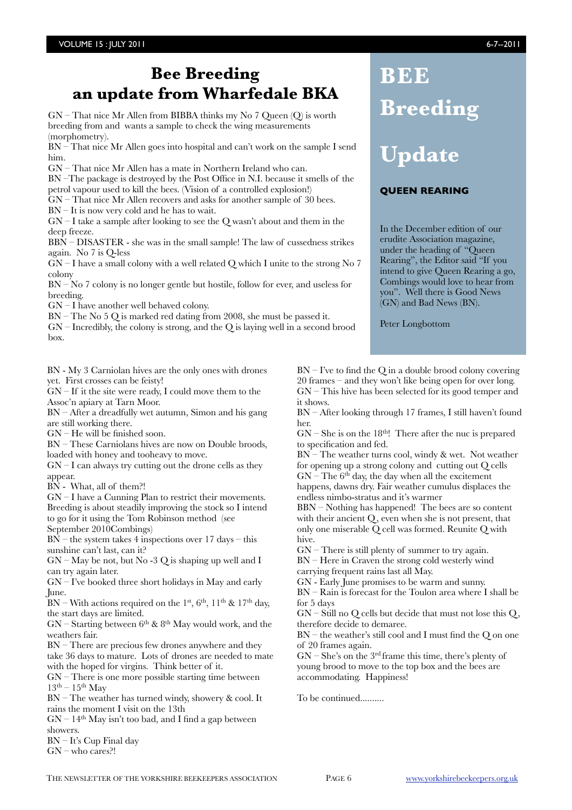## **Bee Breeding an update from Wharfedale BKA**

GN – That nice Mr Allen from BIBBA thinks my No 7 Queen (Q) is worth breeding from and wants a sample to check the wing measurements (morphometry).

BN – That nice Mr Allen goes into hospital and can't work on the sample I send him.

GN – That nice Mr Allen has a mate in Northern Ireland who can.

BN –The package is destroyed by the Post Office in N.I. because it smells of the petrol vapour used to kill the bees. (Vision of a controlled explosion!)

GN – That nice Mr Allen recovers and asks for another sample of 30 bees.

BN – It is now very cold and he has to wait.

 $GN - I$  take a sample after looking to see the Q wasn't about and them in the deep freeze.

BBN – DISASTER - she was in the small sample! The law of cussedness strikes again. No 7 is Q-less

 $\widetilde{GN}$  – I have a small colony with a well related Q which I unite to the strong No 7 colony

BN – No 7 colony is no longer gentle but hostile, follow for ever, and useless for breeding.

 $GN - I$  have another well behaved colony.

BN – The No 5 Q is marked red dating from 2008, she must be passed it.

 $GN$  – Incredibly, the colony is strong, and the Q is laying well in a second brood box.

BN - My 3 Carniolan hives are the only ones with drones yet. First crosses can be feisty!

 $GN - If$  it the site were ready, I could move them to the Assoc'n apiary at Tarn Moor.

BN – After a dreadfully wet autumn, Simon and his gang are still working there.

 $GN$  – He will be finished soon.

BN – These Carniolans hives are now on Double broods, loaded with honey and tooheavy to move.

 $GN - I$  can always try cutting out the drone cells as they appear.

BN - What, all of them?!

GN – I have a Cunning Plan to restrict their movements. Breeding is about steadily improving the stock so I intend to go for it using the Tom Robinson method (see September 2010Combings)

 $BN$  – the system takes 4 inspections over 17 days – this sunshine can't last, can it?

 $GN - May$  be not, but No -3 Q is shaping up well and I can try again later.

 $GN - I$ 've booked three short holidays in May and early June.

 $BN - With actions required on the 1st, 6th, 11<sup>th</sup> & 17<sup>th</sup> day,$ the start days are limited.

 $GN -$  Starting between  $6<sup>th</sup>$  &  $8<sup>th</sup>$  May would work, and the weathers fair.

BN – There are precious few drones anywhere and they take 36 days to mature. Lots of drones are needed to mate with the hoped for virgins. Think better of it.

 $GN$  – There is one more possible starting time between  $13<sup>th</sup> - 15<sup>th</sup>$  May

BN – The weather has turned windy, showery & cool. It rains the moment I visit on the 13th

 $GN - 14<sup>th</sup>$  May isn't too bad, and I find a gap between showers.

BN – It's Cup Final day

GN – who cares?!

 $BN - I'$ ve to find the O in a double brood colony covering 20 frames – and they won't like being open for over long. GN – This hive has been selected for its good temper and it shows.

Peter Longbottom

**BEE**

**Breeding**

**Update**

**QUEEN REARING**

In the December edition of our erudite Association magazine, under the heading of "Queen Rearing", the Editor said "If you intend to give Queen Rearing a go, Combings would love to hear from you". Well there is Good News (GN) and Bad News (BN).

BN – After looking through 17 frames, I still haven't found her.

 $GN - She$  is on the 18<sup>th</sup>! There after the nuc is prepared to specification and fed.

 $BN$  – The weather turns cool, windy  $\&$  wet. Not weather for opening up a strong colony and cutting out Q cells  $GN$  – The  $6<sup>th</sup>$  day, the day when all the excitement

happens, dawns dry. Fair weather cumulus displaces the endless nimbo-stratus and it's warmer

BBN – Nothing has happened! The bees are so content with their ancient Q, even when she is not present, that only one miserable Q cell was formed. Reunite Q with hive.

 $GN$  – There is still plenty of summer to try again.

BN – Here in Craven the strong cold westerly wind carrying frequent rains last all May.

GN - Early June promises to be warm and sunny.

BN – Rain is forecast for the Toulon area where I shall be for 5 days

 $GN - Still$  no  $Q$  cells but decide that must not lose this  $Q$ , therefore decide to demaree.

BN – the weather's still cool and I must find the Q on one of 20 frames again.

 $GN - She's$  on the 3<sup>rd</sup> frame this time, there's plenty of young brood to move to the top box and the bees are accommodating. Happiness!

To be continued..........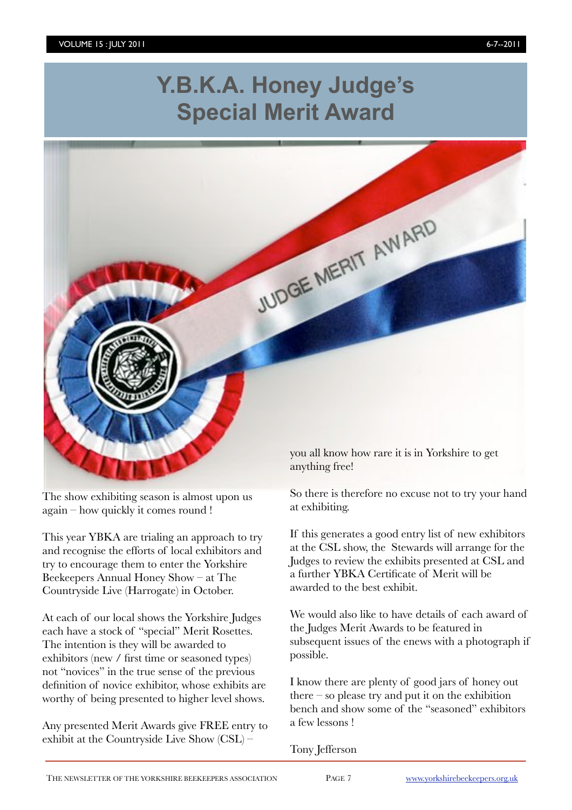# **Y.B.K.A. Honey Judge's Special Merit Award**



The show exhibiting season is almost upon us again – how quickly it comes round !

This year YBKA are trialing an approach to try and recognise the efforts of local exhibitors and try to encourage them to enter the Yorkshire Beekeepers Annual Honey Show – at The Countryside Live (Harrogate) in October.

At each of our local shows the Yorkshire Judges each have a stock of "special" Merit Rosettes. The intention is they will be awarded to exhibitors (new / first time or seasoned types) not "novices" in the true sense of the previous definition of novice exhibitor, whose exhibits are worthy of being presented to higher level shows.

Any presented Merit Awards give FREE entry to exhibit at the Countryside Live Show (CSL) –

So there is therefore no excuse not to try your hand at exhibiting.

If this generates a good entry list of new exhibitors at the CSL show, the Stewards will arrange for the Judges to review the exhibits presented at CSL and a further YBKA Certificate of Merit will be awarded to the best exhibit.

We would also like to have details of each award of the Judges Merit Awards to be featured in subsequent issues of the enews with a photograph if possible.

I know there are plenty of good jars of honey out there – so please try and put it on the exhibition bench and show some of the "seasoned" exhibitors a few lessons !

Tony Jefferson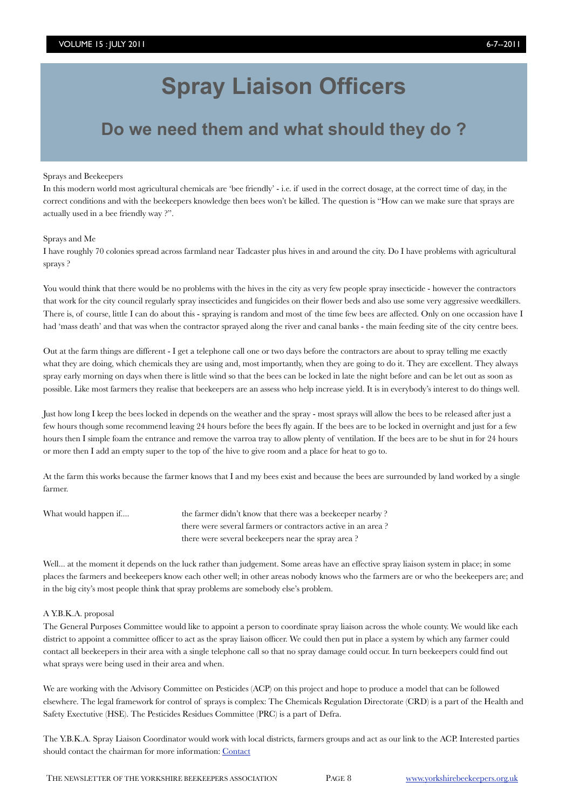# **Spray Liaison Officers**

## **Do we need them and what should they do ?**

### Sprays and Beekeepers

In this modern world most agricultural chemicals are 'bee friendly' - i.e. if used in the correct dosage, at the correct time of day, in the correct conditions and with the beekeepers knowledge then bees won't be killed. The question is "How can we make sure that sprays are actually used in a bee friendly way ?".

### Sprays and Me

I have roughly 70 colonies spread across farmland near Tadcaster plus hives in and around the city. Do I have problems with agricultural sprays ?

You would think that there would be no problems with the hives in the city as very few people spray insecticide - however the contractors that work for the city council regularly spray insecticides and fungicides on their flower beds and also use some very aggressive weedkillers. There is, of course, little I can do about this - spraying is random and most of the time few bees are affected. Only on one occassion have I had 'mass death' and that was when the contractor sprayed along the river and canal banks - the main feeding site of the city centre bees.

Out at the farm things are different - I get a telephone call one or two days before the contractors are about to spray telling me exactly what they are doing, which chemicals they are using and, most importantly, when they are going to do it. They are excellent. They always spray early morning on days when there is little wind so that the bees can be locked in late the night before and can be let out as soon as possible. Like most farmers they realise that beekeepers are an assess who help increase yield. It is in everybody's interest to do things well.

Just how long I keep the bees locked in depends on the weather and the spray - most sprays will allow the bees to be released after just a few hours though some recommend leaving 24 hours before the bees fly again. If the bees are to be locked in overnight and just for a few hours then I simple foam the entrance and remove the varroa tray to allow plenty of ventilation. If the bees are to be shut in for 24 hours or more then I add an empty super to the top of the hive to give room and a place for heat to go to.

At the farm this works because the farmer knows that I and my bees exist and because the bees are surrounded by land worked by a single farmer.

What would happen if.... **the farmer didn't know that there was a beekeeper nearby ?**  there were several farmers or contractors active in an area ? there were several beekeepers near the spray area ?

Well... at the moment it depends on the luck rather than judgement. Some areas have an effective spray liaison system in place; in some places the farmers and beekeepers know each other well; in other areas nobody knows who the farmers are or who the beekeepers are; and in the big city's most people think that spray problems are somebody else's problem.

### A Y.B.K.A. proposal

The General Purposes Committee would like to appoint a person to coordinate spray liaison across the whole county. We would like each district to appoint a committee officer to act as the spray liaison officer. We could then put in place a system by which any farmer could contact all beekeepers in their area with a single telephone call so that no spray damage could occur. In turn beekeepers could find out what sprays were being used in their area and when.

We are working with the Advisory Committee on Pesticides (ACP) on this project and hope to produce a model that can be followed elsewhere. The legal framework for control of sprays is complex: The Chemicals Regulation Directorate (CRD) is a part of the Health and Safety Exectutive (HSE). The Pesticides Residues Committee (PRC) is a part of Defra.

The Y.B.K.A. Spray Liaison Coordinator would work with local districts, farmers groups and act as our link to the ACP. Interested parties should contact the chairman for more information: [Contact](mailto:bill.cadmore@ntlworld.com?subject=Spray%20Liaison)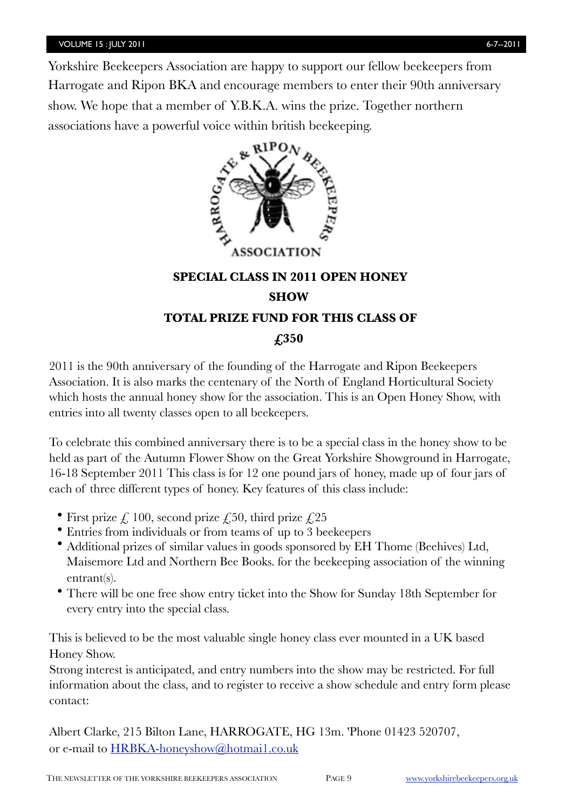Yorkshire Beekeepers Association are happy to support our fellow beekeepers from Harrogate and Ripon BKA and encourage members to enter their 90th anniversary show. We hope that a member of Y.B.K.A. wins the prize. Together northern associations have a powerful voice within british beekeeping.



## **SPECIAL CLASS IN 2011 OPEN HONEY SHOW TOTAL PRIZE FUND FOR THIS CLASS OF £350**

2011 is the 90th anniversary of the founding of the Harrogate and Ripon Beekeepers Association. It is also marks the centenary of the North of England Horticultural Society which hosts the annual honey show for the association. This is an Open Honey Show, with entries into all twenty classes open to all beekeepers.

To celebrate this combined anniversary there is to be a special class in the honey show to be held as part of the Autumn Flower Show on the Great Yorkshire Showground in Harrogate, 16-18 September 2011 This class is for 12 one pound jars of honey, made up of four jars of each of three different types of honey. Key features of this class include:

- First prize  $\zeta$  100, second prize  $\zeta$ 50, third prize  $\zeta$ 25
- Entries from individuals or from teams of up to 3 beekeepers
- Additional prizes of similar values in goods sponsored by EH Thome (Beehives) Ltd, Maisemore Ltd and Northern Bee Books. for the beekeeping association of the winning entrant(s).
- There will be one free show entry ticket into the Show for Sunday 18th September for every entry into the special class.

This is believed to be the most valuable single honey class ever mounted in a UK based Honey Show.

Strong interest is anticipated, and entry numbers into the show may be restricted. For full information about the class, and to register to receive a show schedule and entry form please contact:

Albert Clarke, 215 Bilton Lane, HARROGATE, HG 13m. 'Phone 01423 520707, or e-mail to [HRBKA-honeyshow@hotmai1.co.uk](mailto:HRBKA-honeyshow@hotmai1.co.uk)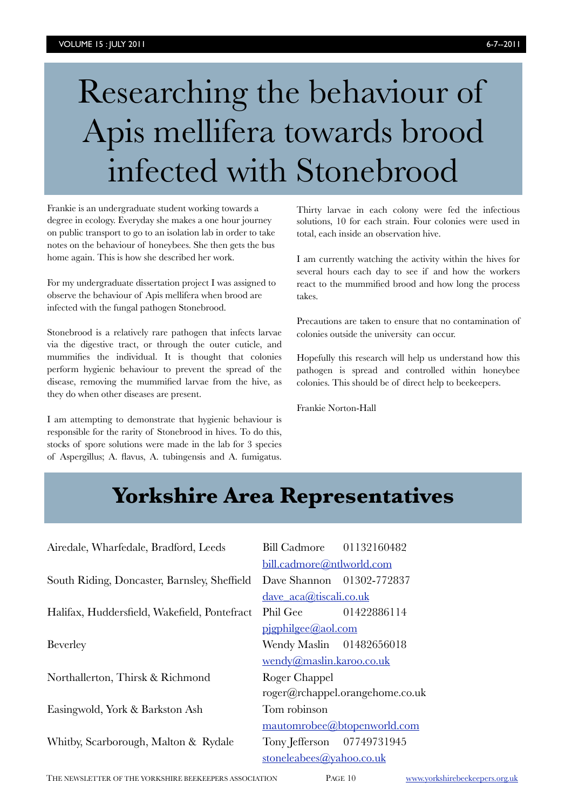# Researching the behaviour of Apis mellifera towards brood infected with Stonebrood

Frankie is an undergraduate student working towards a degree in ecology. Everyday she makes a one hour journey on public transport to go to an isolation lab in order to take notes on the behaviour of honeybees. She then gets the bus home again. This is how she described her work.

For my undergraduate dissertation project I was assigned to observe the behaviour of Apis mellifera when brood are infected with the fungal pathogen Stonebrood.

Stonebrood is a relatively rare pathogen that infects larvae via the digestive tract, or through the outer cuticle, and mummifies the individual. It is thought that colonies perform hygienic behaviour to prevent the spread of the disease, removing the mummified larvae from the hive, as they do when other diseases are present.

I am attempting to demonstrate that hygienic behaviour is responsible for the rarity of Stonebrood in hives. To do this, stocks of spore solutions were made in the lab for 3 species of Aspergillus; A. flavus, A. tubingensis and A. fumigatus.

Thirty larvae in each colony were fed the infectious solutions, 10 for each strain. Four colonies were used in total, each inside an observation hive.

I am currently watching the activity within the hives for several hours each day to see if and how the workers react to the mummified brood and how long the process takes.

Precautions are taken to ensure that no contamination of colonies outside the university can occur.

Hopefully this research will help us understand how this pathogen is spread and controlled within honeybee colonies. This should be of direct help to beekeepers.

Frankie Norton-Hall

## **Yorkshire Area Representatives Yorkshire Area Representatives**

| Airedale, Wharfedale, Bradford, Leeds        | Bill Cadmore 01132160482        |             |  |
|----------------------------------------------|---------------------------------|-------------|--|
|                                              | bill.cadmore@ntlworld.com       |             |  |
| South Riding, Doncaster, Barnsley, Sheffield | Dave Shannon 01302-772837       |             |  |
|                                              | dave aca@tiscali.co.uk          |             |  |
| Halifax, Huddersfield, Wakefield, Pontefract | Phil Gee                        | 01422886114 |  |
|                                              | pigphilgee@aol.com              |             |  |
| <b>Beverley</b>                              | Wendy Maslin 01482656018        |             |  |
|                                              | wendy@maslin.karoo.co.uk        |             |  |
| Northallerton, Thirsk & Richmond             | Roger Chappel                   |             |  |
|                                              | roger@rchappel.orangehome.co.uk |             |  |
| Easingwold, York & Barkston Ash              | Tom robinson                    |             |  |
|                                              | mautomrobee@btopenworld.com     |             |  |
| Whitby, Scarborough, Malton & Rydale         | Tony Jefferson 07749731945      |             |  |
|                                              | stoneleabees@yahoo.co.uk        |             |  |

THE NEWSLETTER OF THE YORKSHIRE BEEKEEPERS ASSOCIATION PAGE 10 [www.yorkshirebeekeepers.org.uk](http://www.yorkshirebeekeepers.org.uk)